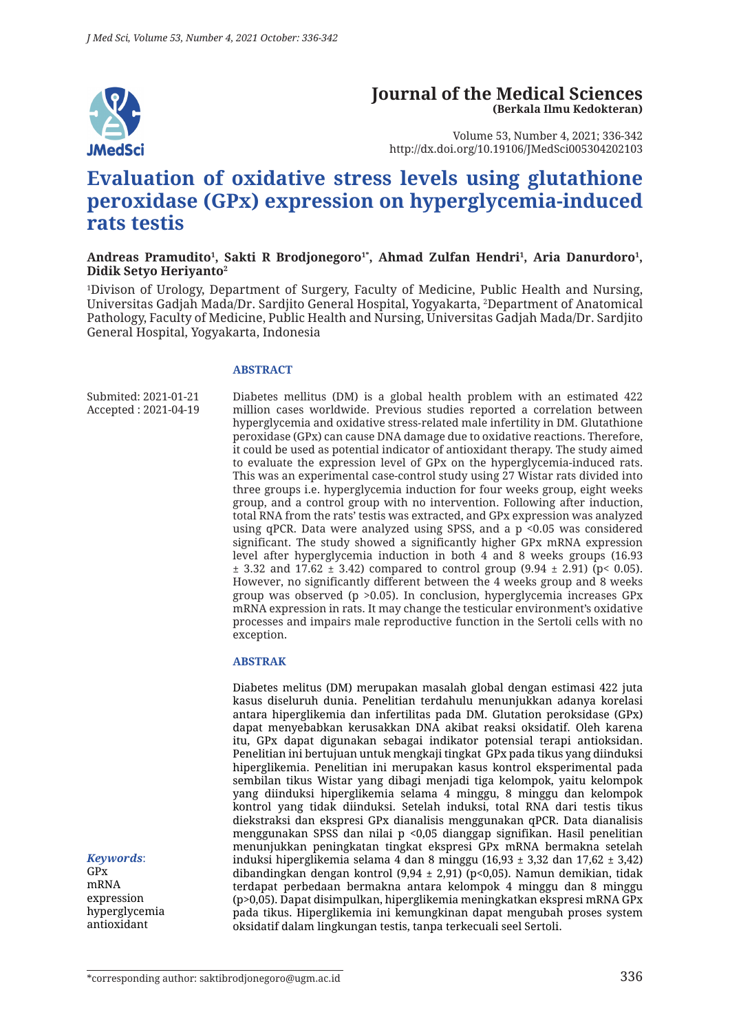

#### **Journal of the Medical Sciences (Berkala Ilmu Kedokteran)**

Volume 53, Number 4, 2021; 336-342 http://dx.doi.org/10.19106/JMedSci005304202103

# **Evaluation of oxidative stress levels using glutathione peroxidase (GPx) expression on hyperglycemia-induced rats testis**

#### Andreas Pramudito<sup>1</sup>, Sakti R Brodjonegoro<sup>1</sup>\*, Ahmad Zulfan Hendri<sup>1</sup>, Aria Danurdoro<sup>1</sup>, **Didik Setyo Heriyanto2**

1 Divison of Urology, Department of Surgery, Faculty of Medicine, Public Health and Nursing, Universitas Gadjah Mada/Dr. Sardjito General Hospital, Yogyakarta, 2 Department of Anatomical Pathology, Faculty of Medicine, Public Health and Nursing, Universitas Gadjah Mada/Dr. Sardjito General Hospital, Yogyakarta, Indonesia

#### **ABSTRACT**

Submited: 2021-01-21 Accepted : 2021-04-19

Diabetes mellitus (DM) is a global health problem with an estimated 422 million cases worldwide. Previous studies reported a correlation between hyperglycemia and oxidative stress‐related male infertility in DM. Glutathione peroxidase (GPx) can cause DNA damage due to oxidative reactions. Therefore, it could be used as potential indicator of antioxidant therapy. The study aimed to evaluate the expression level of GPx on the hyperglycemia-induced rats. This was an experimental case-control study using 27 Wistar rats divided into three groups i.e. hyperglycemia induction for four weeks group, eight weeks group, and a control group with no intervention. Following after induction, total RNA from the rats' testis was extracted, and GPx expression was analyzed using qPCR. Data were analyzed using SPSS, and a p <0.05 was considered significant. The study showed a significantly higher GPx mRNA expression level after hyperglycemia induction in both 4 and 8 weeks groups (16.93  $\pm$  3.32 and 17.62  $\pm$  3.42) compared to control group (9.94  $\pm$  2.91) (p< 0.05). However, no significantly different between the 4 weeks group and 8 weeks group was observed (p >0.05). In conclusion, hyperglycemia increases GPx mRNA expression in rats. It may change the testicular environment's oxidative processes and impairs male reproductive function in the Sertoli cells with no exception.

#### **ABSTRAK**

Diabetes melitus (DM) merupakan masalah global dengan estimasi 422 juta kasus diseluruh dunia. Penelitian terdahulu menunjukkan adanya korelasi antara hiperglikemia dan infertilitas pada DM. Glutation peroksidase (GPx) dapat menyebabkan kerusakkan DNA akibat reaksi oksidatif. Oleh karena itu, GPx dapat digunakan sebagai indikator potensial terapi antioksidan. Penelitian ini bertujuan untuk mengkaji tingkat GPx pada tikus yang diinduksi hiperglikemia. Penelitian ini merupakan kasus kontrol eksperimental pada sembilan tikus Wistar yang dibagi menjadi tiga kelompok, yaitu kelompok yang diinduksi hiperglikemia selama 4 minggu, 8 minggu dan kelompok kontrol yang tidak diinduksi. Setelah induksi, total RNA dari testis tikus diekstraksi dan ekspresi GPx dianalisis menggunakan qPCR. Data dianalisis menggunakan SPSS dan nilai p <0,05 dianggap signifikan. Hasil penelitian menunjukkan peningkatan tingkat ekspresi GPx mRNA bermakna setelah induksi hiperglikemia selama 4 dan 8 minggu (16,93 ± 3,32 dan 17,62 ± 3,42) dibandingkan dengan kontrol (9,94 ± 2,91) (p<0,05). Namun demikian, tidak terdapat perbedaan bermakna antara kelompok 4 minggu dan 8 minggu (p>0,05). Dapat disimpulkan, hiperglikemia meningkatkan ekspresi mRNA GPx pada tikus. Hiperglikemia ini kemungkinan dapat mengubah proses system oksidatif dalam lingkungan testis, tanpa terkecuali seel Sertoli.

*Keywords*:

GPx mRNA expression hyperglycemia antioxidant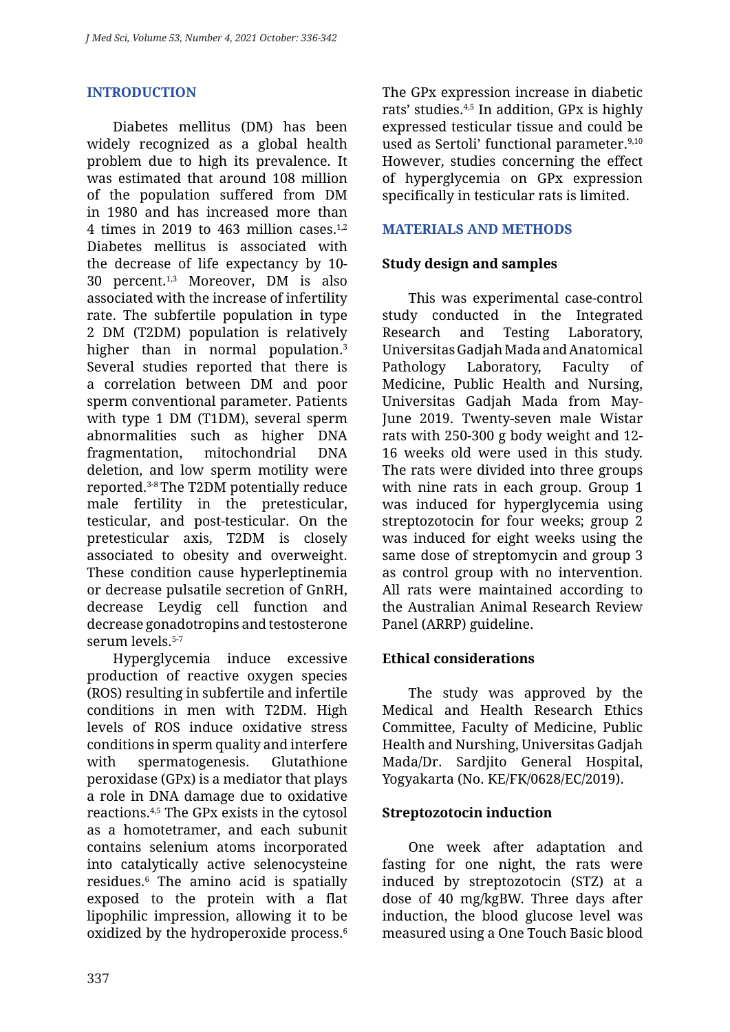# **INTRODUCTION**

Diabetes mellitus (DM) has been widely recognized as a global health problem due to high its prevalence. It was estimated that around 108 million of the population suffered from DM in 1980 and has increased more than 4 times in 2019 to 463 million cases. $1,2$ Diabetes mellitus is associated with the decrease of life expectancy by 10- 30 percent.1,3 Moreover, DM is also associated with the increase of infertility rate. The subfertile population in type 2 DM (T2DM) population is relatively higher than in normal population.<sup>3</sup> Several studies reported that there is a correlation between DM and poor sperm conventional parameter. Patients with type 1 DM (T1DM), several sperm abnormalities such as higher DNA fragmentation, mitochondrial DNA deletion, and low sperm motility were reported.3-8 The T2DM potentially reduce male fertility in the pretesticular, testicular, and post-testicular. On the pretesticular axis, T2DM is closely associated to obesity and overweight. These condition cause hyperleptinemia or decrease pulsatile secretion of GnRH, decrease Leydig cell function and decrease gonadotropins and testosterone serum levels.<sup>5-7</sup>

Hyperglycemia induce excessive production of reactive oxygen species (ROS) resulting in subfertile and infertile conditions in men with T2DM. High levels of ROS induce oxidative stress conditions in sperm quality and interfere with spermatogenesis. Glutathione peroxidase (GPx) is a mediator that plays a role in DNA damage due to oxidative reactions.4,5 The GPx exists in the cytosol as a homotetramer, and each subunit contains selenium atoms incorporated into catalytically active selenocysteine residues.6 The amino acid is spatially exposed to the protein with a flat lipophilic impression, allowing it to be oxidized by the hydroperoxide process.6

The GPx expression increase in diabetic rats' studies.4,5 In addition, GPx is highly expressed testicular tissue and could be used as Sertoli' functional parameter.<sup>9,10</sup> However, studies concerning the effect of hyperglycemia on GPx expression specifically in testicular rats is limited.

### **MATERIALS AND METHODS**

### **Study design and samples**

This was experimental case-control study conducted in the Integrated Research and Testing Laboratory, Universitas Gadjah Mada and Anatomical Pathology Laboratory, Faculty of Medicine, Public Health and Nursing, Universitas Gadjah Mada from May-June 2019. Twenty-seven male Wistar rats with 250-300 g body weight and 12- 16 weeks old were used in this study. The rats were divided into three groups with nine rats in each group. Group 1 was induced for hyperglycemia using streptozotocin for four weeks; group 2 was induced for eight weeks using the same dose of streptomycin and group 3 as control group with no intervention. All rats were maintained according to the Australian Animal Research Review Panel (ARRP) guideline.

# **Ethical considerations**

The study was approved by the Medical and Health Research Ethics Committee, Faculty of Medicine, Public Health and Nurshing, Universitas Gadjah Mada/Dr. Sardjito General Hospital, Yogyakarta (No. KE/FK/0628/EC/2019).

### **Streptozotocin induction**

One week after adaptation and fasting for one night, the rats were induced by streptozotocin (STZ) at a dose of 40 mg/kgBW. Three days after induction, the blood glucose level was measured using a One Touch Basic blood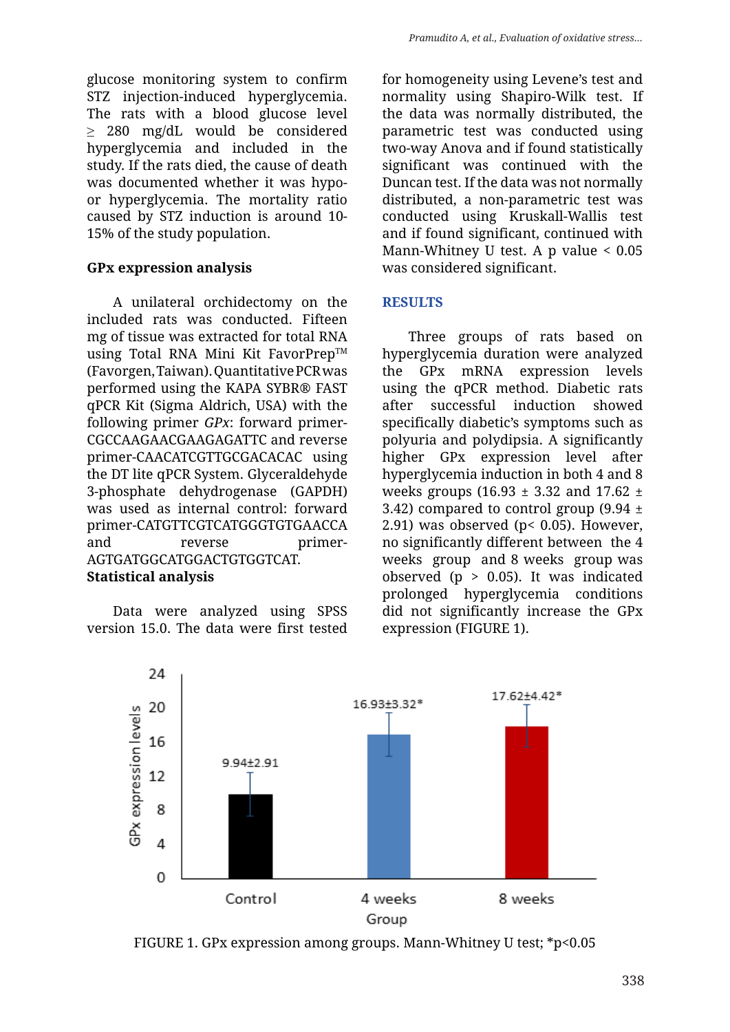glucose monitoring system to confirm STZ injection-induced hyperglycemia. The rats with a blood glucose level ≥ 280 mg/dL would be considered hyperglycemia and included in the study. If the rats died, the cause of death was documented whether it was hypoor hyperglycemia. The mortality ratio caused by STZ induction is around 10- 15% of the study population.

#### **GPx expression analysis**

A unilateral orchidectomy on the included rats was conducted. Fifteen mg of tissue was extracted for total RNA using Total RNA Mini Kit FavorPrep™ (Favorgen, Taiwan). Quantitative PCR was performed using the KAPA SYBR® FAST qPCR Kit (Sigma Aldrich, USA) with the following primer *GPx*: forward primer-CGCCAAGAACGAAGAGATTC and reverse primer-CAACATCGTTGCGACACAC using the DT lite qPCR System. Glyceraldehyde 3-phosphate dehydrogenase (GAPDH) was used as internal control: forward primer-CATGTTCGTCATGGGTGTGAACCA and reverse primer-AGTGATGGCATGGACTGTGGTCAT. **Statistical analysis**

Data were analyzed using SPSS version 15.0. The data were first tested for homogeneity using Levene's test and normality using Shapiro-Wilk test. If the data was normally distributed, the parametric test was conducted using two-way Anova and if found statistically significant was continued with the Duncan test. If the data was not normally distributed, a non-parametric test was conducted using Kruskall-Wallis test and if found significant, continued with Mann-Whitney U test. A p value < 0.05 was considered significant.

#### **RESULTS**

Three groups of rats based on hyperglycemia duration were analyzed the GPx mRNA expression levels using the qPCR method. Diabetic rats after successful induction showed specifically diabetic's symptoms such as polyuria and polydipsia. A significantly higher GPx expression level after hyperglycemia induction in both 4 and 8 weeks groups (16.93  $\pm$  3.32 and 17.62  $\pm$ 3.42) compared to control group  $(9.94 \pm 1)$ 2.91) was observed ( $p$ < 0.05). However, no significantly different between the 4 weeks group and 8 weeks group was observed ( $p > 0.05$ ). It was indicated prolonged hyperglycemia conditions did not significantly increase the GPx expression (FIGURE 1).



FIGURE 1. GPx expression among groups. Mann-Whitney U test; \*p<0.05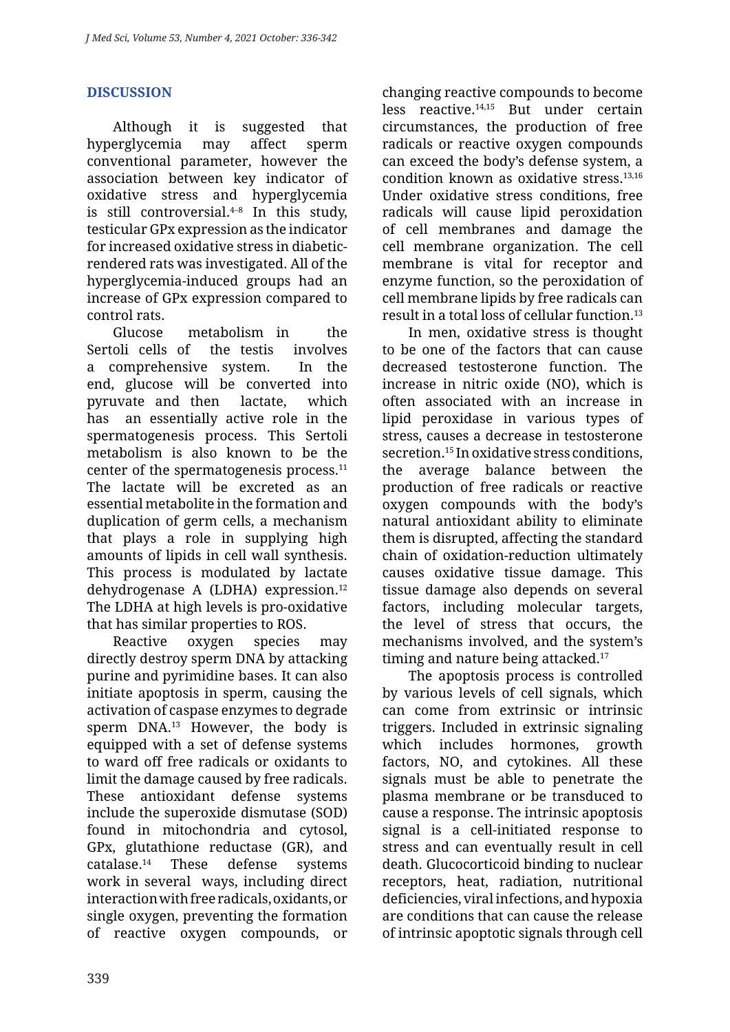# **DISCUSSION**

Although it is suggested that hyperglycemia may affect sperm conventional parameter, however the association between key indicator of oxidative stress and hyperglycemia is still controversial. $4-8$  In this study, testicular GPx expression as the indicator for increased oxidative stress in diabeticrendered rats was investigated. All of the hyperglycemia-induced groups had an increase of GPx expression compared to control rats.

Glucose metabolism in the Sertoli cells of the testis involves a comprehensive system. In the end, glucose will be converted into pyruvate and then lactate, which has an essentially active role in the spermatogenesis process. This Sertoli metabolism is also known to be the center of the spermatogenesis process.11 The lactate will be excreted as an essential metabolite in the formation and duplication of germ cells, a mechanism that plays a role in supplying high amounts of lipids in cell wall synthesis. This process is modulated by lactate dehydrogenase A (LDHA) expression.12 The LDHA at high levels is pro-oxidative that has similar properties to ROS.

Reactive oxygen species may directly destroy sperm DNA by attacking purine and pyrimidine bases. It can also initiate apoptosis in sperm, causing the activation of caspase enzymes to degrade sperm DNA.<sup>13</sup> However, the body is equipped with a set of defense systems to ward off free radicals or oxidants to limit the damage caused by free radicals. These antioxidant defense systems include the superoxide dismutase (SOD) found in mitochondria and cytosol, GPx, glutathione reductase (GR), and catalase.14 These defense systems work in several ways, including direct interaction with free radicals, oxidants, or single oxygen, preventing the formation of reactive oxygen compounds, or changing reactive compounds to become less reactive.14,15 But under certain circumstances, the production of free radicals or reactive oxygen compounds can exceed the body's defense system, a condition known as oxidative stress.13,16 Under oxidative stress conditions, free radicals will cause lipid peroxidation of cell membranes and damage the cell membrane organization. The cell membrane is vital for receptor and enzyme function, so the peroxidation of cell membrane lipids by free radicals can result in a total loss of cellular function.13

In men, oxidative stress is thought to be one of the factors that can cause decreased testosterone function. The increase in nitric oxide (NO), which is often associated with an increase in lipid peroxidase in various types of stress, causes a decrease in testosterone secretion.15 In oxidative stress conditions, the average balance between the production of free radicals or reactive oxygen compounds with the body's natural antioxidant ability to eliminate them is disrupted, affecting the standard chain of oxidation-reduction ultimately causes oxidative tissue damage. This tissue damage also depends on several factors, including molecular targets, the level of stress that occurs, the mechanisms involved, and the system's timing and nature being attacked.<sup>17</sup>

The apoptosis process is controlled by various levels of cell signals, which can come from extrinsic or intrinsic triggers. Included in extrinsic signaling which includes hormones, growth factors, NO, and cytokines. All these signals must be able to penetrate the plasma membrane or be transduced to cause a response. The intrinsic apoptosis signal is a cell-initiated response to stress and can eventually result in cell death. Glucocorticoid binding to nuclear receptors, heat, radiation, nutritional deficiencies, viral infections, and hypoxia are conditions that can cause the release of intrinsic apoptotic signals through cell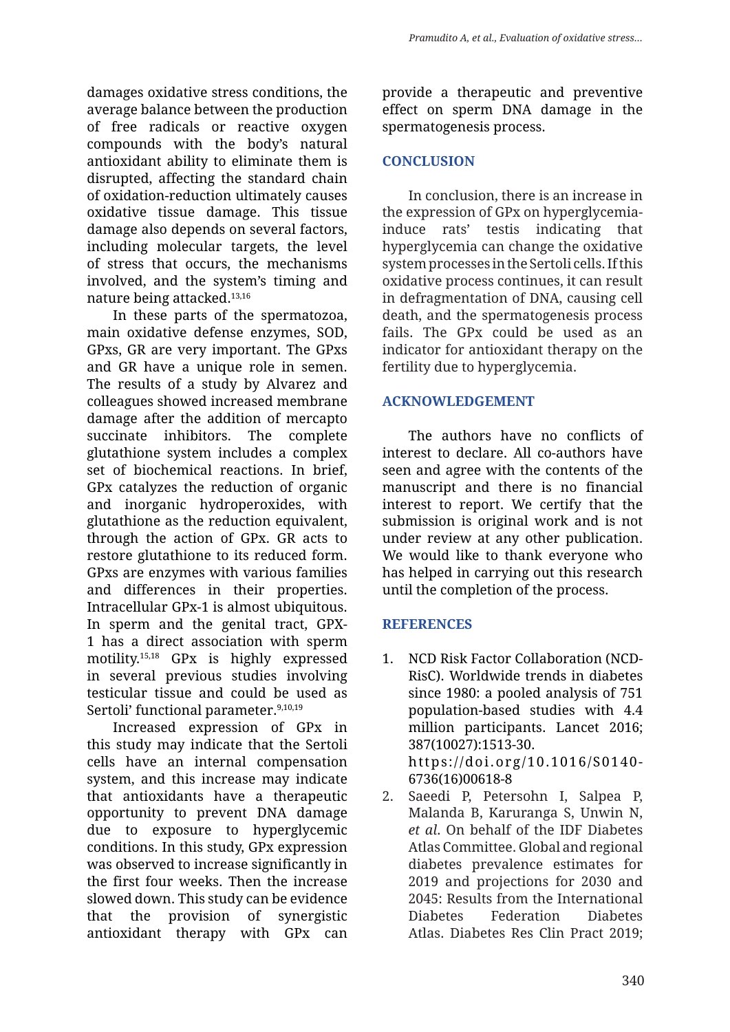damages oxidative stress conditions, the average balance between the production of free radicals or reactive oxygen compounds with the body's natural antioxidant ability to eliminate them is disrupted, affecting the standard chain of oxidation-reduction ultimately causes oxidative tissue damage. This tissue damage also depends on several factors, including molecular targets, the level of stress that occurs, the mechanisms involved, and the system's timing and nature being attacked.13,16

In these parts of the spermatozoa, main oxidative defense enzymes, SOD, GPxs, GR are very important. The GPxs and GR have a unique role in semen. The results of a study by Alvarez and colleagues showed increased membrane damage after the addition of mercapto succinate inhibitors. The complete glutathione system includes a complex set of biochemical reactions. In brief, GPx catalyzes the reduction of organic and inorganic hydroperoxides, with glutathione as the reduction equivalent, through the action of GPx. GR acts to restore glutathione to its reduced form. GPxs are enzymes with various families and differences in their properties. Intracellular GPx-1 is almost ubiquitous. In sperm and the genital tract, GPX-1 has a direct association with sperm motility.15,18 GPx is highly expressed in several previous studies involving testicular tissue and could be used as Sertoli' functional parameter.<sup>9,10,19</sup>

Increased expression of GPx in this study may indicate that the Sertoli cells have an internal compensation system, and this increase may indicate that antioxidants have a therapeutic opportunity to prevent DNA damage due to exposure to hyperglycemic conditions. In this study, GPx expression was observed to increase significantly in the first four weeks. Then the increase slowed down. This study can be evidence that the provision of synergistic antioxidant therapy with GPx can provide a therapeutic and preventive effect on sperm DNA damage in the spermatogenesis process.

# **CONCLUSION**

In conclusion, there is an increase in the expression of GPx on hyperglycemiainduce rats' testis indicating that hyperglycemia can change the oxidative system processes in the Sertoli cells. If this oxidative process continues, it can result in defragmentation of DNA, causing cell death, and the spermatogenesis process fails. The GPx could be used as an indicator for antioxidant therapy on the fertility due to hyperglycemia.

# **ACKNOWLEDGEMENT**

The authors have no conflicts of interest to declare. All co-authors have seen and agree with the contents of the manuscript and there is no financial interest to report. We certify that the submission is original work and is not under review at any other publication. We would like to thank everyone who has helped in carrying out this research until the completion of the process.

# **REFERENCES**

- 1. NCD Risk Factor Collaboration (NCD-RisC). Worldwide trends in diabetes since 1980: a pooled analysis of 751 population-based studies with 4.4 million participants. Lancet 2016; 387(10027):1513-30. https://doi.org/10.1016/S0140- 6736(16)00618-8
- 2. Saeedi P, Petersohn I, Salpea P, Malanda B, Karuranga S, Unwin N, *et al*. On behalf of the IDF Diabetes Atlas Committee. Global and regional diabetes prevalence estimates for 2019 and projections for 2030 and 2045: Results from the International Diabetes Federation Diabetes Atlas. Diabetes Res Clin Pract 2019;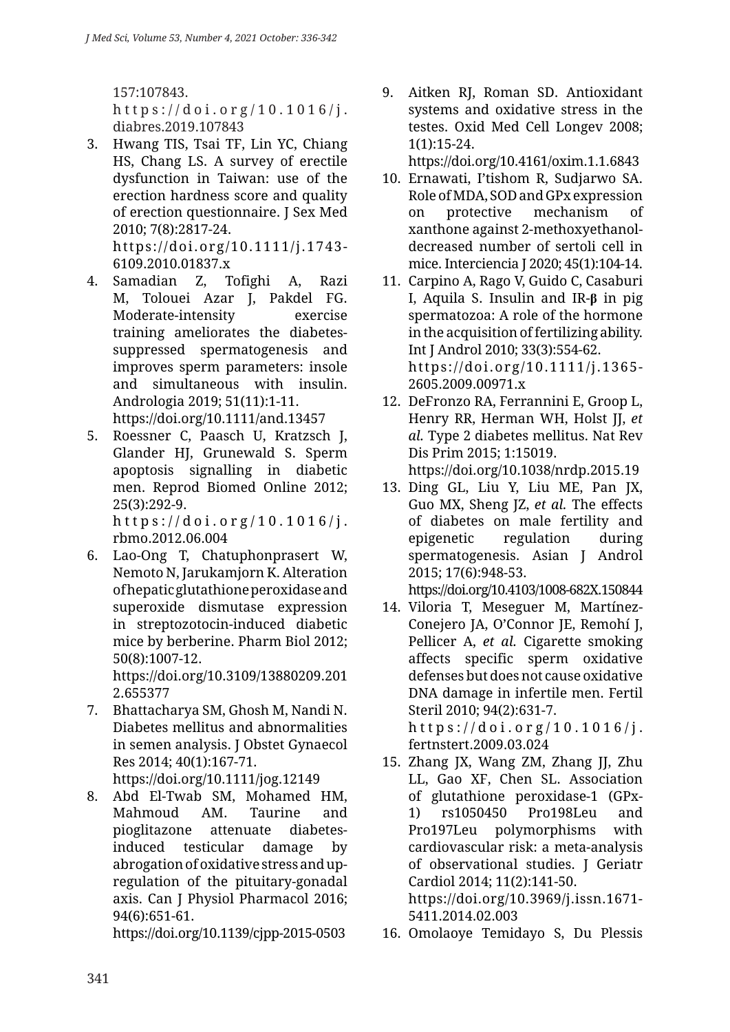157:107843. https://doi.org/10.1016/j. diabres.2019.107843

3. Hwang TIS, Tsai TF, Lin YC, Chiang HS, Chang LS. A survey of erectile dysfunction in Taiwan: use of the erection hardness score and quality of erection questionnaire. J Sex Med 2010; 7(8):2817-24. https://doi.org/10.1111/j.1743-

6109.2010.01837.x

4. Samadian Z, Tofighi A, Razi M, Tolouei Azar J, Pakdel FG. Moderate-intensity exercise training ameliorates the diabetessuppressed spermatogenesis and improves sperm parameters: insole and simultaneous with insulin. Andrologia 2019; 51(11):1-11.

https://doi.org/10.1111/and.13457

5. Roessner C, Paasch U, Kratzsch J, Glander HJ, Grunewald S. Sperm apoptosis signalling in diabetic men. Reprod Biomed Online 2012; 25(3):292-9. https://doi.org/10.1016/j.

rbmo.2012.06.004

- 6. Lao-Ong T, Chatuphonprasert W, Nemoto N, Jarukamjorn K. Alteration of hepatic glutathione peroxidase and superoxide dismutase expression in streptozotocin-induced diabetic mice by berberine. Pharm Biol 2012; 50(8):1007-12. https://doi.org/10.3109/13880209.201 2.655377
- 7. Bhattacharya SM, Ghosh M, Nandi N. Diabetes mellitus and abnormalities in semen analysis. J Obstet Gynaecol Res 2014; 40(1):167-71.

https://doi.org/10.1111/jog.12149

8. Abd El-Twab SM, Mohamed HM, Mahmoud AM. Taurine and pioglitazone attenuate diabetesinduced testicular damage by abrogation of oxidative stress and upregulation of the pituitary-gonadal axis. Can J Physiol Pharmacol 2016; 94(6):651-61.

https://doi.org/10.1139/cjpp-2015-0503

9. Aitken RJ, Roman SD. Antioxidant systems and oxidative stress in the testes. Oxid Med Cell Longev 2008; 1(1):15-24.

https://doi.org/10.4161/oxim.1.1.6843

- 10. Ernawati, I'tishom R, Sudjarwo SA. Role of MDA, SOD and GPx expression on protective mechanism of xanthone against 2-methoxyethanoldecreased number of sertoli cell in mice. Interciencia J 2020; 45(1):104-14.
- 11. Carpino A, Rago V, Guido C, Casaburi I, Aquila S. Insulin and IR-**β** in pig spermatozoa: A role of the hormone in the acquisition of fertilizing ability. Int J Androl 2010; 33(3):554-62. https://doi.org/10.1111/j.1365- 2605.2009.00971.x
- 12. DeFronzo RA, Ferrannini E, Groop L, Henry RR, Herman WH, Holst JJ, *et al.* Type 2 diabetes mellitus. Nat Rev Dis Prim 2015; 1:15019.

https://doi.org/10.1038/nrdp.2015.19

13. Ding GL, Liu Y, Liu ME, Pan JX, Guo MX, Sheng JZ, *et al.* The effects of diabetes on male fertility and epigenetic regulation during spermatogenesis. Asian J Androl 2015; 17(6):948-53.

https://doi.org/10.4103/1008-682X.150844

- 14. Viloria T, Meseguer M, Martínez-Conejero JA, O'Connor JE, Remohí J, Pellicer A, *et al.* Cigarette smoking affects specific sperm oxidative defenses but does not cause oxidative DNA damage in infertile men. Fertil Steril 2010; 94(2):631-7. https://doi.org/10.1016/j. fertnstert.2009.03.024
- 15. Zhang JX, Wang ZM, Zhang JJ, Zhu LL, Gao XF, Chen SL. Association of glutathione peroxidase-1 (GPx-1) rs1050450 Pro198Leu and Pro197Leu polymorphisms with cardiovascular risk: a meta-analysis of observational studies. J Geriatr Cardiol 2014; 11(2):141-50. https://doi.org/10.3969/j.issn.1671- 5411.2014.02.003
- 16. Omolaoye Temidayo S, Du Plessis